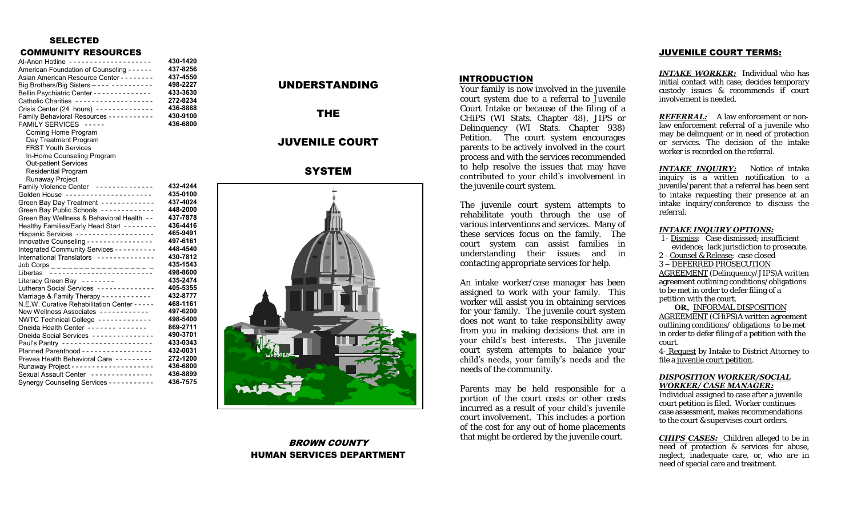### SELECTED

### COMMUNITY RESOURCES

| Al-Anon Hotline --------------------<br>American Foundation of Counseling - - - - - -<br>Asian American Resource Center - - - - - - - -<br>Big Brothers/Big Sisters ---- ----------<br>Bellin Psychiatric Center - - - - - - - - - - - - -<br>Catholic Charities -------------------<br>Crisis Center (24 hours) --------------<br>Family Behavioral Resources - - - - - - - - - - | 430-1420<br>437-8256<br>437-4550<br>498-2227<br>433-3630<br>272-8234<br>436-8888<br>430-9100 |
|------------------------------------------------------------------------------------------------------------------------------------------------------------------------------------------------------------------------------------------------------------------------------------------------------------------------------------------------------------------------------------|----------------------------------------------------------------------------------------------|
| FAMILY SERVICES -----<br>Coming Home Program<br>Day Treatment Program<br><b>FRST Youth Services</b><br>In-Home Counseling Program<br><b>Out-patient Services</b><br><b>Residential Program</b><br>Runaway Project                                                                                                                                                                  | 436-6800                                                                                     |
| Family Violence Center -------------                                                                                                                                                                                                                                                                                                                                               | 432-4244                                                                                     |
| Golden House ---------------------                                                                                                                                                                                                                                                                                                                                                 | 435-0100                                                                                     |
| Green Bay Day Treatment ------------                                                                                                                                                                                                                                                                                                                                               | 437-4024                                                                                     |
| Green Bay Public Schools ------------                                                                                                                                                                                                                                                                                                                                              | 448-2000                                                                                     |
| Green Bay Wellness & Behavioral Health --                                                                                                                                                                                                                                                                                                                                          | 437-7878<br>436-4416                                                                         |
| Healthy Families/Early Head Start --------<br>Hispanic Services -------------------                                                                                                                                                                                                                                                                                                | 465-9491                                                                                     |
| Innovative Counseling - - - - - - - - - - - - - - - -                                                                                                                                                                                                                                                                                                                              | 497-6161                                                                                     |
|                                                                                                                                                                                                                                                                                                                                                                                    | 448-4540                                                                                     |
| Integrated Community Services - - - - - - - - -<br>International Translators - - - - - - - - - - - - - -                                                                                                                                                                                                                                                                           | 430-7812                                                                                     |
|                                                                                                                                                                                                                                                                                                                                                                                    | 435-1543                                                                                     |
|                                                                                                                                                                                                                                                                                                                                                                                    | 498-8600                                                                                     |
| Literacy Green Bay --------                                                                                                                                                                                                                                                                                                                                                        | 435-2474                                                                                     |
| Lutheran Social Services -------------                                                                                                                                                                                                                                                                                                                                             | 405-5355                                                                                     |
| Marriage & Family Therapy - - - - - - - - - - -                                                                                                                                                                                                                                                                                                                                    | 432-8777                                                                                     |
| N.E.W. Curative Rehabilitation Center - - - -                                                                                                                                                                                                                                                                                                                                      | 468-1161                                                                                     |
| New Wellness Associates ------------                                                                                                                                                                                                                                                                                                                                               | 497-6200                                                                                     |
| NWTC Technical College ------------                                                                                                                                                                                                                                                                                                                                                | 498-5400                                                                                     |
| Oneida Health Center ------- -------                                                                                                                                                                                                                                                                                                                                               | 869-2711                                                                                     |
| Oneida Social Services ---------------                                                                                                                                                                                                                                                                                                                                             | 490-3701                                                                                     |
| Paul's Pantry ----------------------                                                                                                                                                                                                                                                                                                                                               | 433-0343                                                                                     |
| Planned Parenthood - - - - - - - - - - - - - - - -                                                                                                                                                                                                                                                                                                                                 | 432-0031                                                                                     |
| Prevea Health Behavioral Care ---------                                                                                                                                                                                                                                                                                                                                            | 272-1200                                                                                     |
|                                                                                                                                                                                                                                                                                                                                                                                    | 436-6800                                                                                     |
| Sexual Assault Center --------------                                                                                                                                                                                                                                                                                                                                               | 436-8899                                                                                     |
| Synergy Counseling Services - - - - - - - - - -                                                                                                                                                                                                                                                                                                                                    | 436-7575                                                                                     |

# UNDERSTANDING

THE

## JUVENILE COURT

## **SYSTEM**



## BROWN COUNTY HUMAN SERVICES DEPARTMENT

### INTRODUCTION

Your family is now involved in the juvenile court system due to a referral to Juvenile Court Intake or because of the filing of a CHiPS (WI Stats. Chapter 48), JIPS or Delinquency (WI Stats. Chapter 938) Petition. The court system encourages parents to be actively involved in the court process and with the services recommended to help resolve the issues that may have contributed to your child's involvement in the juvenile court system.

The juvenile court system attempts to rehabilitate youth through the use of various interventions and services. Many of these services focus on the family. The court system can assist families in understanding their issues and in contacting appropriate services for help.

An intake worker/case manager has been assigned to work with your family. This worker will assist you in obtaining services for your family. The juvenile court system does not want to take responsibility away from you in making decisions that are in your child's best interests. The juvenile court system attempts to balance your child's needs, your family's needs and the needs of the community.

Parents may be held responsible for a portion of the court costs or other costs incurred as a result of your child's juvenile court involvement. This includes a portion of the cost for any out of home placements that might be ordered by the juvenile court.

### JUVENILE COURT TERMS:

*INTAKE WORKER:* Individual who has initial contact with case; decides temporary custody issues & recommends if court involvement is needed.

*REFERRAL:* A law enforcement or nonlaw enforcement referral of a juvenile who may be delinquent or in need of protection or services. The decision of the intake worker is recorded on the referral.

**INTAKE INOUIRY:** Notice of intake inquiry is a written notification to a juvenile/parent that a referral has been sent to intake requesting their presence at an intake inquiry/conference to discuss the referral.

#### *INTAKE INQUIRY OPTIONS:*

- 1 Dismiss: Case dismissed; insufficient evidence; lack jurisdiction to prosecute.
- 2 Counsel & Release; case closed

3 – DEFERRED PROSECUTION

AGREEMENT (Delinquency/JIPS)A written agreement outlining conditions/obligations to be met in order to defer filing of a petition with the court.

 **OR,** INFORMAL DISPOSITION AGREEMENT (CHiPS)A written agreement outlining conditions/ obligations to be met in order to defer filing of a petition with the court.

4- Request by Intake to District Attorney to file a juvenile court petition.

#### *DISPOSITION WORKER/SOCIAL WORKER/ CASE MANAGER:*

Individual assigned to case after a juvenile court petition is filed. Worker continues case assessment, makes recommendations to the court & supervises court orders.

*CHIPS CASES:* Children alleged to be in need of protection & services for abuse, neglect, inadequate care, or, who are in need of special care and treatment.